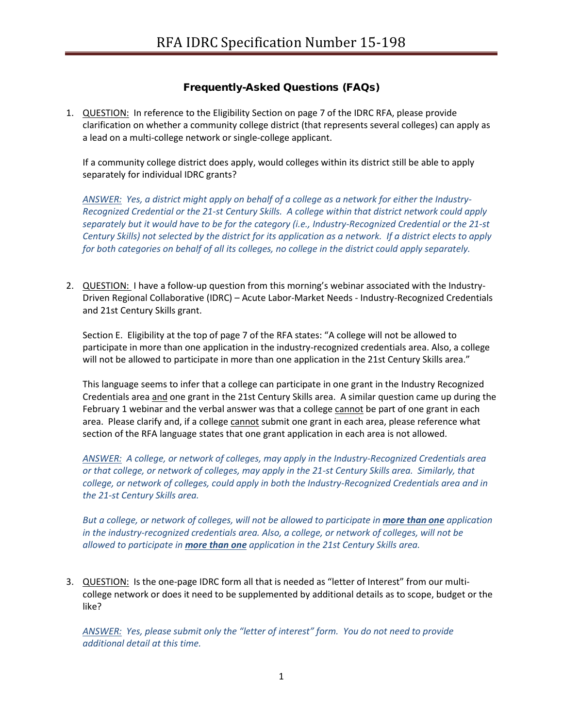# Frequently-Asked Questions (FAQs)

1. QUESTION: In reference to the Eligibility Section on page 7 of the IDRC RFA, please provide clarification on whether a community college district (that represents several colleges) can apply as a lead on a multi-college network or single-college applicant.

If a community college district does apply, would colleges within its district still be able to apply separately for individual IDRC grants?

*ANSWER: Yes, a district might apply on behalf of a college as a network for either the Industry-Recognized Credential or the 21-st Century Skills. A college within that district network could apply separately but it would have to be for the category (i.e., Industry-Recognized Credential or the 21-st Century Skills) not selected by the district for its application as a network. If a district elects to apply for both categories on behalf of all its colleges, no college in the district could apply separately.*

2. QUESTION: I have a follow-up question from this morning's webinar associated with the Industry-Driven Regional Collaborative (IDRC) – Acute Labor-Market Needs - Industry-Recognized Credentials and 21st Century Skills grant.

Section E. Eligibility at the top of page 7 of the RFA states: "A college will not be allowed to participate in more than one application in the industry-recognized credentials area. Also, a college will not be allowed to participate in more than one application in the 21st Century Skills area."

This language seems to infer that a college can participate in one grant in the Industry Recognized Credentials area and one grant in the 21st Century Skills area. A similar question came up during the February 1 webinar and the verbal answer was that a college cannot be part of one grant in each area. Please clarify and, if a college cannot submit one grant in each area, please reference what section of the RFA language states that one grant application in each area is not allowed.

*ANSWER: A college, or network of colleges, may apply in the Industry-Recognized Credentials area or that college, or network of colleges, may apply in the 21-st Century Skills area. Similarly, that college, or network of colleges, could apply in both the Industry-Recognized Credentials area and in the 21-st Century Skills area.*

*But a college, or network of colleges, will not be allowed to participate in more than one application in the industry-recognized credentials area. Also, a college, or network of colleges, will not be allowed to participate in more than one application in the 21st Century Skills area.*

3. QUESTION: Is the one-page IDRC form all that is needed as "letter of Interest" from our multicollege network or does it need to be supplemented by additional details as to scope, budget or the like?

*ANSWER: Yes, please submit only the "letter of interest" form. You do not need to provide additional detail at this time.*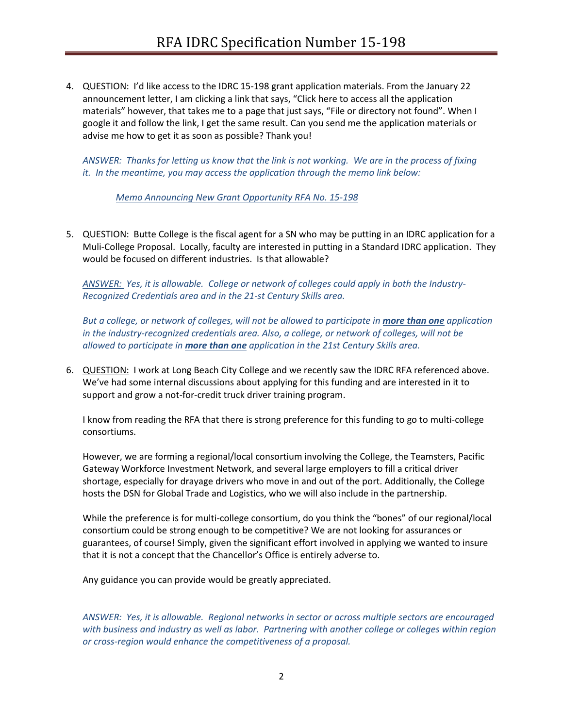4. QUESTION: I'd like access to the IDRC 15-198 grant application materials. From the January 22 announcement letter, I am clicking a link that says, "Click here to access all the application materials" however, that takes me to a page that just says, "File or directory not found". When I google it and follow the link, I get the same result. Can you send me the application materials or advise me how to get it as soon as possible? Thank you!

*ANSWER: Thanks for letting us know that the link is not working. We are in the process of fixing it. In the meantime, you may access the application through the memo link below:*

*[Memo Announcing New Grant Opportunity RFA No. 15-198](http://extranet.cccco.edu/Portals/1/WED/WEDDRFA/RFA-IDRC/2016/Memo-RFA-IDRC-15-198.pdf)*

5. QUESTION: Butte College is the fiscal agent for a SN who may be putting in an IDRC application for a Muli-College Proposal. Locally, faculty are interested in putting in a Standard IDRC application. They would be focused on different industries. Is that allowable?

*ANSWER: Yes, it is allowable. College or network of colleges could apply in both the Industry-Recognized Credentials area and in the 21-st Century Skills area.*

*But a college, or network of colleges, will not be allowed to participate in more than one application in the industry-recognized credentials area. Also, a college, or network of colleges, will not be allowed to participate in more than one application in the 21st Century Skills area.*

6. QUESTION: I work at Long Beach City College and we recently saw the IDRC RFA referenced above. We've had some internal discussions about applying for this funding and are interested in it to support and grow a not-for-credit truck driver training program.

I know from reading the RFA that there is strong preference for this funding to go to multi-college consortiums.

However, we are forming a regional/local consortium involving the College, the Teamsters, Pacific Gateway Workforce Investment Network, and several large employers to fill a critical driver shortage, especially for drayage drivers who move in and out of the port. Additionally, the College hosts the DSN for Global Trade and Logistics, who we will also include in the partnership.

While the preference is for multi-college consortium, do you think the "bones" of our regional/local consortium could be strong enough to be competitive? We are not looking for assurances or guarantees, of course! Simply, given the significant effort involved in applying we wanted to insure that it is not a concept that the Chancellor's Office is entirely adverse to.

Any guidance you can provide would be greatly appreciated.

*ANSWER: Yes, it is allowable. Regional networks in sector or across multiple sectors are encouraged with business and industry as well as labor. Partnering with another college or colleges within region or cross-region would enhance the competitiveness of a proposal.*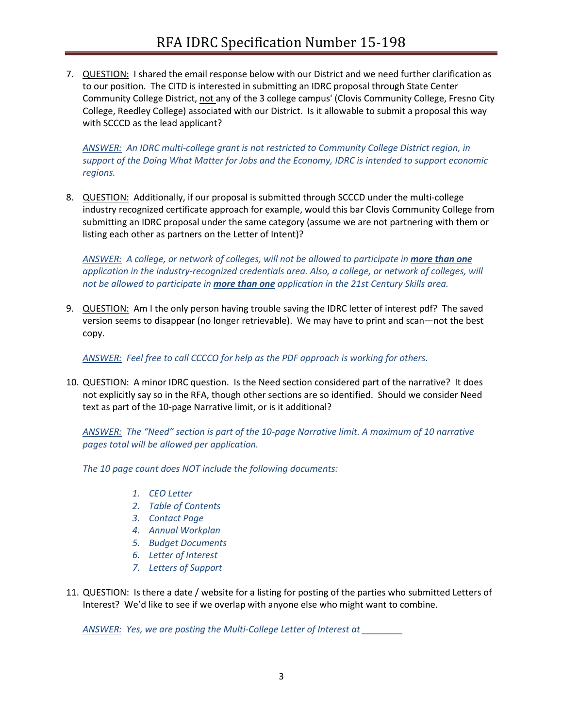7. QUESTION: I shared the email response below with our District and we need further clarification as to our position. The CITD is interested in submitting an IDRC proposal through State Center Community College District, not any of the 3 college campus' (Clovis Community College, Fresno City College, Reedley College) associated with our District. Is it allowable to submit a proposal this way with SCCCD as the lead applicant?

*ANSWER: An IDRC multi-college grant is not restricted to Community College District region, in support of the Doing What Matter for Jobs and the Economy, IDRC is intended to support economic regions.* 

8. QUESTION: Additionally, if our proposal is submitted through SCCCD under the multi-college industry recognized certificate approach for example, would this bar Clovis Community College from submitting an IDRC proposal under the same category (assume we are not partnering with them or listing each other as partners on the Letter of Intent)?

ANSWER: A college, or network of colleges, will not be allowed to participate in **more than one** *application in the industry-recognized credentials area. Also, a college, or network of colleges, will not be allowed to participate in more than one application in the 21st Century Skills area.*

9. QUESTION: Am I the only person having trouble saving the IDRC letter of interest pdf? The saved version seems to disappear (no longer retrievable). We may have to print and scan—not the best copy.

*ANSWER: Feel free to call CCCCO for help as the PDF approach is working for others.* 

10. QUESTION: A minor IDRC question. Is the Need section considered part of the narrative? It does not explicitly say so in the RFA, though other sections are so identified. Should we consider Need text as part of the 10-page Narrative limit, or is it additional?

*ANSWER: The "Need" section is part of the 10-page Narrative limit. A maximum of 10 narrative pages total will be allowed per application.* 

*The 10 page count does NOT include the following documents:*

- *1. CEO Letter*
- *2. Table of Contents*
- *3. Contact Page*
- *4. Annual Workplan*
- *5. Budget Documents*
- *6. Letter of Interest*
- *7. Letters of Support*
- 11. QUESTION: Is there a date / website for a listing for posting of the parties who submitted Letters of Interest? We'd like to see if we overlap with anyone else who might want to combine.

*ANSWER: Yes, we are posting the Multi-College Letter of Interest at \_\_\_\_\_\_\_\_*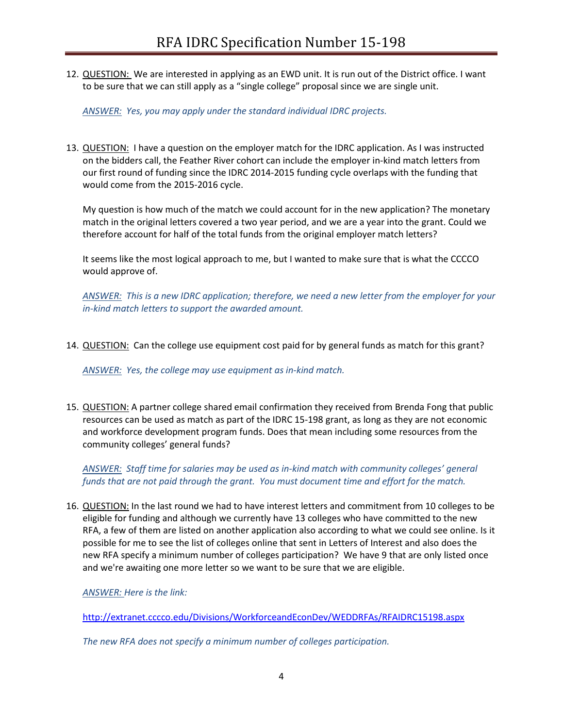12. QUESTION: We are interested in applying as an EWD unit. It is run out of the District office. I want to be sure that we can still apply as a "single college" proposal since we are single unit.

*ANSWER: Yes, you may apply under the standard individual IDRC projects.*

13. QUESTION: I have a question on the employer match for the IDRC application. As I was instructed on the bidders call, the Feather River cohort can include the employer in-kind match letters from our first round of funding since the IDRC 2014-2015 funding cycle overlaps with the funding that would come from the 2015-2016 cycle.

My question is how much of the match we could account for in the new application? The monetary match in the original letters covered a two year period, and we are a year into the grant. Could we therefore account for half of the total funds from the original employer match letters?

It seems like the most logical approach to me, but I wanted to make sure that is what the CCCCO would approve of.

*ANSWER: This is a new IDRC application; therefore, we need a new letter from the employer for your in-kind match letters to support the awarded amount.*

14. QUESTION: Can the college use equipment cost paid for by general funds as match for this grant?

*ANSWER: Yes, the college may use equipment as in-kind match.*

15. QUESTION: A partner college shared email confirmation they received from Brenda Fong that public resources can be used as match as part of the IDRC 15-198 grant, as long as they are not economic and workforce development program funds. Does that mean including some resources from the community colleges' general funds?

*ANSWER: Staff time for salaries may be used as in-kind match with community colleges' general funds that are not paid through the grant. You must document time and effort for the match.*

16. QUESTION: In the last round we had to have interest letters and commitment from 10 colleges to be eligible for funding and although we currently have 13 colleges who have committed to the new RFA, a few of them are listed on another application also according to what we could see online. Is it possible for me to see the list of colleges online that sent in Letters of Interest and also does the new RFA specify a minimum number of colleges participation? We have 9 that are only listed once and we're awaiting one more letter so we want to be sure that we are eligible.

*ANSWER: Here is the link:*

<http://extranet.cccco.edu/Divisions/WorkforceandEconDev/WEDDRFAs/RFAIDRC15198.aspx>

*The new RFA does not specify a minimum number of colleges participation.*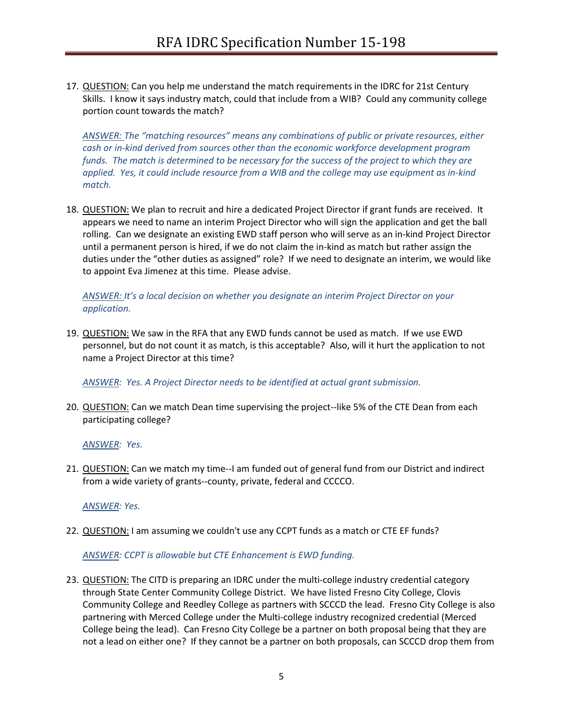17. QUESTION: Can you help me understand the match requirements in the IDRC for 21st Century Skills. I know it says industry match, could that include from a WIB? Could any community college portion count towards the match?

*ANSWER: The "matching resources" means any combinations of public or private resources, either cash or in-kind derived from sources other than the economic workforce development program funds. The match is determined to be necessary for the success of the project to which they are applied. Yes, it could include resource from a WIB and the college may use equipment as in-kind match.*

18. QUESTION: We plan to recruit and hire a dedicated Project Director if grant funds are received. It appears we need to name an interim Project Director who will sign the application and get the ball rolling. Can we designate an existing EWD staff person who will serve as an in-kind Project Director until a permanent person is hired, if we do not claim the in-kind as match but rather assign the duties under the "other duties as assigned" role? If we need to designate an interim, we would like to appoint Eva Jimenez at this time. Please advise.

## *ANSWER: It's a local decision on whether you designate an interim Project Director on your application.*

19. QUESTION: We saw in the RFA that any EWD funds cannot be used as match. If we use EWD personnel, but do not count it as match, is this acceptable? Also, will it hurt the application to not name a Project Director at this time?

*ANSWER: Yes. A Project Director needs to be identified at actual grant submission.* 

20. QUESTION: Can we match Dean time supervising the project--like 5% of the CTE Dean from each participating college?

*ANSWER: Yes.*

21. QUESTION: Can we match my time--I am funded out of general fund from our District and indirect from a wide variety of grants--county, private, federal and CCCCO.

*ANSWER: Yes.*

22. QUESTION: I am assuming we couldn't use any CCPT funds as a match or CTE EF funds?

# *ANSWER: CCPT is allowable but CTE Enhancement is EWD funding.*

23. QUESTION: The CITD is preparing an IDRC under the multi-college industry credential category through State Center Community College District. We have listed Fresno City College, Clovis Community College and Reedley College as partners with SCCCD the lead. Fresno City College is also partnering with Merced College under the Multi-college industry recognized credential (Merced College being the lead). Can Fresno City College be a partner on both proposal being that they are not a lead on either one? If they cannot be a partner on both proposals, can SCCCD drop them from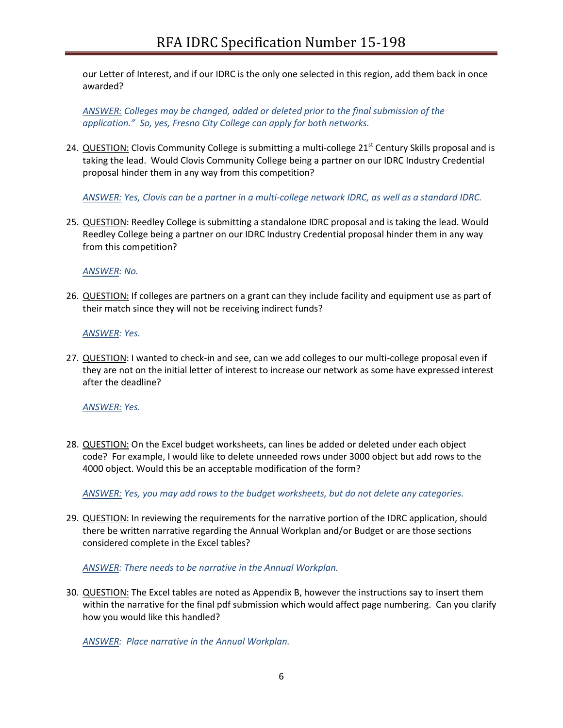our Letter of Interest, and if our IDRC is the only one selected in this region, add them back in once awarded?

*ANSWER: Colleges may be changed, added or deleted prior to the final submission of the application." So, yes, Fresno City College can apply for both networks.*

24. QUESTION: Clovis Community College is submitting a multi-college  $21<sup>st</sup>$  Century Skills proposal and is taking the lead. Would Clovis Community College being a partner on our IDRC Industry Credential proposal hinder them in any way from this competition?

*ANSWER: Yes, Clovis can be a partner in a multi-college network IDRC, as well as a standard IDRC.*

25. QUESTION: Reedley College is submitting a standalone IDRC proposal and is taking the lead. Would Reedley College being a partner on our IDRC Industry Credential proposal hinder them in any way from this competition?

## *ANSWER: No.*

26. QUESTION: If colleges are partners on a grant can they include facility and equipment use as part of their match since they will not be receiving indirect funds?

## *ANSWER: Yes.*

27. QUESTION: I wanted to check-in and see, can we add colleges to our multi-college proposal even if they are not on the initial letter of interest to increase our network as some have expressed interest after the deadline?

# *ANSWER: Yes.*

28. QUESTION: On the Excel budget worksheets, can lines be added or deleted under each object code? For example, I would like to delete unneeded rows under 3000 object but add rows to the 4000 object. Would this be an acceptable modification of the form?

*ANSWER: Yes, you may add rows to the budget worksheets, but do not delete any categories.*

29. QUESTION: In reviewing the requirements for the narrative portion of the IDRC application, should there be written narrative regarding the Annual Workplan and/or Budget or are those sections considered complete in the Excel tables?

# *ANSWER: There needs to be narrative in the Annual Workplan.*

30. QUESTION: The Excel tables are noted as Appendix B, however the instructions say to insert them within the narrative for the final pdf submission which would affect page numbering. Can you clarify how you would like this handled?

*ANSWER: Place narrative in the Annual Workplan.*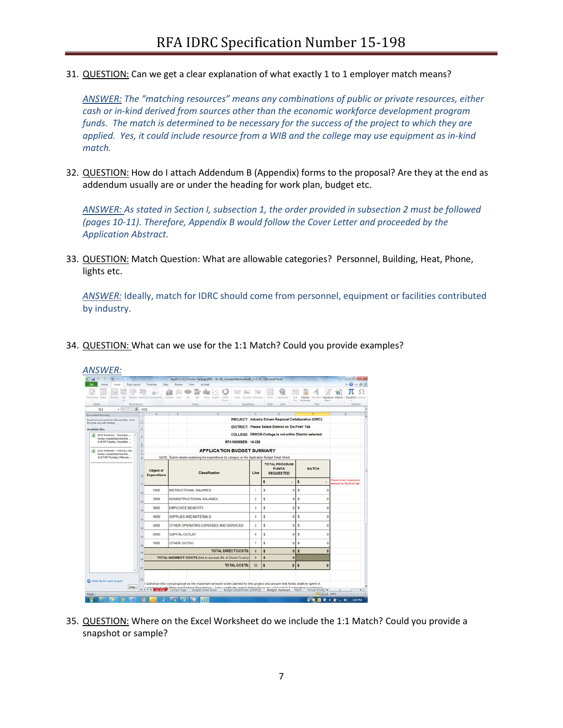31. QUESTION: Can we get a clear explanation of what exactly 1 to 1 employer match means?

*ANSWER: The "matching resources" means any combinations of public or private resources, either cash or in-kind derived from sources other than the economic workforce development program funds. The match is determined to be necessary for the success of the project to which they are applied. Yes, it could include resource from a WIB and the college may use equipment as in-kind match.*

32. QUESTION: How do I attach Addendum B (Appendix) forms to the proposal? Are they at the end as addendum usually are or under the heading for work plan, budget etc.

*ANSWER: As stated in Section I, subsection 1, the order provided in subsection 2 must be followed (pages 10-11). Therefore, Appendix B would follow the Cover Letter and proceeded by the Application Abstract.*

33. QUESTION: Match Question: What are allowable categories? Personnel, Building, Heat, Phone, lights etc.

*ANSWER:* Ideally, match for IDRC should come from personnel, equipment or facilities contributed by industry.

34. QUESTION: What can we use for the 1:1 Match? Could you provide examples?

| ы                                                                                                     |                  |                                                                                                                             |                                                    |      |               |           |                           | AppB-CCCCO-Forms-Package IDRC--14-126 includesMatchwithinBS 1-15-15 - Microsoft Excel |                                  |                      |           |                         |                                                                                                                                                                                                                                        |                                    |                                                           | <b>COMPANY</b>                             |
|-------------------------------------------------------------------------------------------------------|------------------|-----------------------------------------------------------------------------------------------------------------------------|----------------------------------------------------|------|---------------|-----------|---------------------------|---------------------------------------------------------------------------------------|----------------------------------|----------------------|-----------|-------------------------|----------------------------------------------------------------------------------------------------------------------------------------------------------------------------------------------------------------------------------------|------------------------------------|-----------------------------------------------------------|--------------------------------------------|
| Incent<br>F6<br><b>Home</b><br>Page Layout                                                            |                  | Formular<br>Data                                                                                                            | Review                                             | View |               | Acrobat   |                           |                                                                                       |                                  |                      |           |                         |                                                                                                                                                                                                                                        |                                    | $0 - 62$                                                  | $\qquad \qquad \Box \quad \Box \quad \Box$ |
| PrestTable<br>Table<br>Picture<br>Clu<br>Act of                                                       |                  | Shapes' SmartArt Screenshot                                                                                                 | Column<br>Line                                     | Pit  | Bar           | 2188<br>× | Scatter Other<br>Charts - | w<br>31sc<br>Une Column Win/Loss                                                      | m                                | Siter                | Hyperlink | Text<br>Exist.          | Header<br>& Footer<br>-                                                                                                                                                                                                                | WordArt Signature Object<br>Line = |                                                           | Equation<br>System<br>$\tau$               |
| Tables<br><b>Illustrations</b>                                                                        |                  |                                                                                                                             |                                                    |      | <b>Charts</b> |           |                           |                                                                                       | Sparktines.                      | Fiter                | Links     |                         | Text                                                                                                                                                                                                                                   |                                    |                                                           | Symbols                                    |
| F11<br>$\star$ (%)                                                                                    | $f_x$ = $E11$    |                                                                                                                             |                                                    |      |               |           |                           |                                                                                       |                                  |                      |           |                         |                                                                                                                                                                                                                                        |                                    |                                                           |                                            |
| Document Recovery                                                                                     |                  |                                                                                                                             |                                                    |      |               |           |                           |                                                                                       | $\Omega$                         |                      |           |                         |                                                                                                                                                                                                                                        |                                    |                                                           |                                            |
| Excel has recovered the following files. Save<br>the ones you wish to keep.<br><b>Available files</b> |                  |                                                                                                                             |                                                    |      |               |           |                           |                                                                                       |                                  |                      |           |                         | PROJECT: Industry Driven Regional Collaborative (IDRC)                                                                                                                                                                                 |                                    |                                                           |                                            |
|                                                                                                       |                  |                                                                                                                             | DISTRICT: Please Select District on 'Do First' Tab |      |               |           |                           |                                                                                       |                                  |                      |           |                         |                                                                                                                                                                                                                                        |                                    |                                                           |                                            |
| 2 2015 Timesheet - December<br>Version created last time the<br>5:19 PM Tuesday, December             |                  |                                                                                                                             |                                                    |      |               |           |                           |                                                                                       |                                  |                      |           |                         | COLLEGE: ERROR-College is not within District selected                                                                                                                                                                                 |                                    |                                                           |                                            |
|                                                                                                       |                  |                                                                                                                             |                                                    |      |               |           |                           | RFA NUMBER: 14-326                                                                    |                                  |                      |           |                         |                                                                                                                                                                                                                                        |                                    |                                                           |                                            |
| 図<br>2016 Timesheet -- February, xlox                                                                 |                  |                                                                                                                             | <b>APPLICATION BUDGET SUMMARY</b>                  |      |               |           |                           |                                                                                       |                                  |                      |           |                         |                                                                                                                                                                                                                                        |                                    |                                                           |                                            |
| Version created last time the<br>10:07 AM Thursday, February                                          | $\tau$<br>$\sim$ |                                                                                                                             |                                                    |      |               |           |                           |                                                                                       |                                  |                      |           |                         |                                                                                                                                                                                                                                        |                                    |                                                           |                                            |
|                                                                                                       |                  | NOTE: Submit details explaining the expenditures by category on the Application Budget Detail Sheet.                        |                                                    |      |               |           |                           |                                                                                       |                                  | <b>TOTAL PROGRAM</b> |           |                         |                                                                                                                                                                                                                                        |                                    |                                                           |                                            |
|                                                                                                       | 10<br>11         | Object of<br>Expenditure                                                                                                    | Classification                                     |      |               |           |                           | Line                                                                                  | <b>FUNDS</b><br><b>REQUESTED</b> |                      |           | <b>MATCH</b>            |                                                                                                                                                                                                                                        |                                    |                                                           |                                            |
|                                                                                                       |                  |                                                                                                                             |                                                    |      |               |           |                           |                                                                                       |                                  | s                    |           | s                       |                                                                                                                                                                                                                                        |                                    | <b>Please enter requested</b><br>mount on 'Do First' tab. |                                            |
|                                                                                                       | 12               | 1000                                                                                                                        | INSTRUCTIONAL SALARIES                             |      |               |           |                           |                                                                                       | ï                                | Š.                   |           | ŝ<br>$\ddot{\rm{o}}$    |                                                                                                                                                                                                                                        | O                                  |                                                           |                                            |
|                                                                                                       | 13               | 2000                                                                                                                        | NONINSTRUCTIONAL SALARIES                          |      |               |           |                           |                                                                                       | $\overline{\mathbf{z}}$          | ŝ                    |           | $\ddot{\text{o}}$<br>\$ |                                                                                                                                                                                                                                        | $\ddot{\text{o}}$                  |                                                           |                                            |
|                                                                                                       | ta               | 3000                                                                                                                        | <b>EMPLOYEE BENEFITS</b>                           |      |               |           |                           |                                                                                       | 3                                | \$                   |           | $\ddot{\rm{o}}$<br>\$   |                                                                                                                                                                                                                                        | $\ddot{\mathbf{0}}$                |                                                           |                                            |
|                                                                                                       | 15               | 4000                                                                                                                        | SUPPLIES AND MATERIALS                             |      |               |           |                           |                                                                                       | 4                                | s                    |           | $\circ$<br>\$           |                                                                                                                                                                                                                                        | $\theta$                           |                                                           |                                            |
|                                                                                                       | té               | 5000                                                                                                                        | OTHER OPERATING EXPENSES AND SERVICES              |      |               |           |                           |                                                                                       | 5                                | Ś                    |           | \$<br>$\ddot{\rm{o}}$   |                                                                                                                                                                                                                                        | $\ddot{\mathbf{0}}$                |                                                           |                                            |
|                                                                                                       | 17               | 6000                                                                                                                        | CAPITAL OUTLAY<br>OTHER OUTGO                      |      |               |           |                           |                                                                                       |                                  | Ŝ.                   |           | $\ddot{\rm{o}}$<br>\$   |                                                                                                                                                                                                                                        | $\ddot{\mathbf{0}}$                |                                                           |                                            |
|                                                                                                       | v.               | 7000                                                                                                                        |                                                    |      |               |           |                           |                                                                                       |                                  | Ś.                   |           | $\circ$<br>ŝ            |                                                                                                                                                                                                                                        | $\theta$                           |                                                           |                                            |
|                                                                                                       | 15               | <b>TOTAL DIRECT COSTS:</b><br>TOTAL INDIRECT COSTS (Not to exceed 4% of Direct Costs):                                      |                                                    |      |               |           |                           |                                                                                       | 8                                | s.                   |           | $\bullet$<br>ŝ          |                                                                                                                                                                                                                                        | $\mathbf 0$                        |                                                           |                                            |
|                                                                                                       | $\approx$        |                                                                                                                             |                                                    |      |               |           |                           |                                                                                       | $\overline{9}$                   | s                    |           | $\bullet$               |                                                                                                                                                                                                                                        |                                    |                                                           |                                            |
|                                                                                                       | 21               | <b>TOTAL COSTS:</b>                                                                                                         |                                                    |      |               |           |                           |                                                                                       | 10 <sub>10</sub>                 | s.                   |           | $\circ$<br>s.           |                                                                                                                                                                                                                                        | $\circ$                            |                                                           |                                            |
|                                                                                                       |                  |                                                                                                                             |                                                    |      |               |           |                           |                                                                                       |                                  |                      |           |                         |                                                                                                                                                                                                                                        |                                    |                                                           |                                            |
| Which fle do I want to save?                                                                          | 22               | I authorize this cost proposal as the maximum amount to be claimed for this project and assure that funds shall be spent in |                                                    |      |               |           |                           |                                                                                       |                                  |                      |           |                         |                                                                                                                                                                                                                                        |                                    |                                                           |                                            |
| Close                                                                                                 |                  |                                                                                                                             |                                                    |      |               |           |                           |                                                                                       |                                  |                      |           |                         | compliance with State and Earlers! Denufations I also certificthe match listed above are uslid match funding that is not heine.<br>It ( ) > II <b>EQSESS</b> Contact Page Budget Detail Sheet Budget Detail Sheet (SAMPLE) Budget Summ |                                    |                                                           |                                            |

35. QUESTION: Where on the Excel Worksheet do we include the 1:1 Match? Could you provide a snapshot or sample?